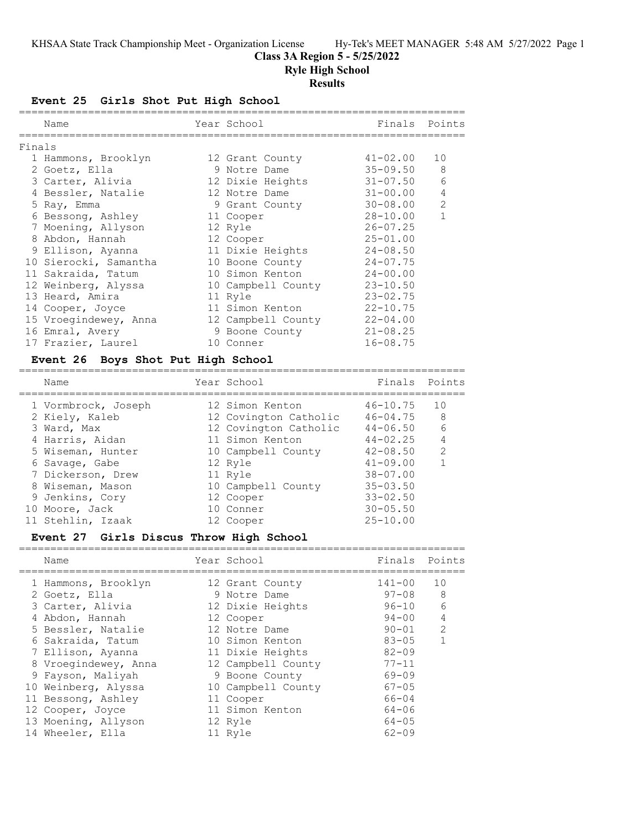### **Class 3A Region 5 - 5/25/2022**

**Ryle High School**

### **Results**

**Event 25 Girls Shot Put High School**

|        | Name                  | Year School        | Finals       | Points       |
|--------|-----------------------|--------------------|--------------|--------------|
| Finals |                       |                    |              |              |
|        | 1 Hammons, Brooklyn   | 12 Grant County    | 41-02.00     | 10           |
|        | 2 Goetz, Ella         | 9 Notre Dame       | $35 - 09.50$ | 8            |
|        | 3 Carter, Alivia      | 12 Dixie Heights   | 31-07.50     | 6            |
|        | 4 Bessler, Natalie    | 12 Notre Dame      | 31-00.00     | 4            |
|        | 5 Ray, Emma           | 9 Grant County     | 30-08.00     | 2            |
|        | 6 Bessong, Ashley     | 11 Cooper          | $28 - 10.00$ | $\mathbf{1}$ |
|        | 7 Moening, Allyson    | 12 Ryle            | $26 - 07.25$ |              |
|        | 8 Abdon, Hannah       | 12 Cooper          | $25 - 01.00$ |              |
|        | 9 Ellison, Ayanna     | 11 Dixie Heights   | $24 - 08.50$ |              |
|        | 10 Sierocki, Samantha | 10 Boone County    | $24 - 07.75$ |              |
|        | 11 Sakraida, Tatum    | 10 Simon Kenton    | $24 - 00.00$ |              |
|        | 12 Weinberg, Alyssa   | 10 Campbell County | $23 - 10.50$ |              |
|        | 13 Heard, Amira       | 11 Ryle            | $23 - 02.75$ |              |
|        | 14 Cooper, Joyce      | 11 Simon Kenton    | $22 - 10.75$ |              |
|        | 15 Vroegindewey, Anna | 12 Campbell County | $22 - 04.00$ |              |
|        | 16 Emral, Avery       | 9 Boone County     | $21 - 08.25$ |              |
|        | 17 Frazier, Laurel    | 10 Conner          | $16 - 08.75$ |              |

### **Event 26 Boys Shot Put High School**

| Name                | Year School           | Finals Points |                |
|---------------------|-----------------------|---------------|----------------|
| 1 Vormbrock, Joseph | 12 Simon Kenton       | $46 - 10.75$  | 10             |
| 2 Kiely, Kaleb      | 12 Covington Catholic | $46 - 04.75$  | -8             |
| 3 Ward, Max         | 12 Covington Catholic | $44 - 06.50$  | - 6            |
| 4 Harris, Aidan     | 11 Simon Kenton       | $44 - 02.25$  | $\overline{4}$ |
| 5 Wiseman, Hunter   | 10 Campbell County    | $42 - 08.50$  | $\mathcal{L}$  |
| 6 Savage, Gabe      | 12 Ryle               | $41 - 09.00$  |                |
| 7 Dickerson, Drew   | 11 Ryle               | $38 - 07.00$  |                |
| 8 Wiseman, Mason    | 10 Campbell County    | $35 - 03.50$  |                |
| 9 Jenkins, Cory     | 12 Cooper             | $33 - 02.50$  |                |
| 10 Moore, Jack      | 10 Conner             | $30 - 05.50$  |                |
| 11 Stehlin, Izaak   | 12 Cooper             | $25 - 10.00$  |                |
|                     |                       |               |                |

### **Event 27 Girls Discus Throw High School**

| Name                 | Year School        |           | Finals Points  |
|----------------------|--------------------|-----------|----------------|
| 1 Hammons, Brooklyn  | 12 Grant County    | 141-00    | 10             |
| 2 Goetz, Ella        | 9 Notre Dame       | $97 - 08$ | 8              |
| 3 Carter, Alivia     | 12 Dixie Heights   | $96 - 10$ | 6              |
| 4 Abdon, Hannah      | 12 Cooper          | $94 - 00$ | $\overline{4}$ |
| 5 Bessler, Natalie   | 12 Notre Dame      | $90 - 01$ | $\mathcal{L}$  |
| 6 Sakraida, Tatum    | 10 Simon Kenton    | $83 - 05$ | $\mathbf{1}$   |
| 7 Ellison, Ayanna    | 11 Dixie Heights   | $82 - 09$ |                |
| 8 Vroegindewey, Anna | 12 Campbell County | $77 - 11$ |                |
| 9 Fayson, Maliyah    | 9 Boone County     | $69 - 09$ |                |
| 10 Weinberg, Alyssa  | 10 Campbell County | $67 - 05$ |                |
| 11 Bessong, Ashley   | 11 Cooper          | $66 - 04$ |                |
| 12 Cooper, Joyce     | 11 Simon Kenton    | $64 - 06$ |                |
| 13 Moening, Allyson  | 12 Ryle            | $64 - 05$ |                |
| 14 Wheeler, Ella     | 11 Ryle            | $62 - 09$ |                |
|                      |                    |           |                |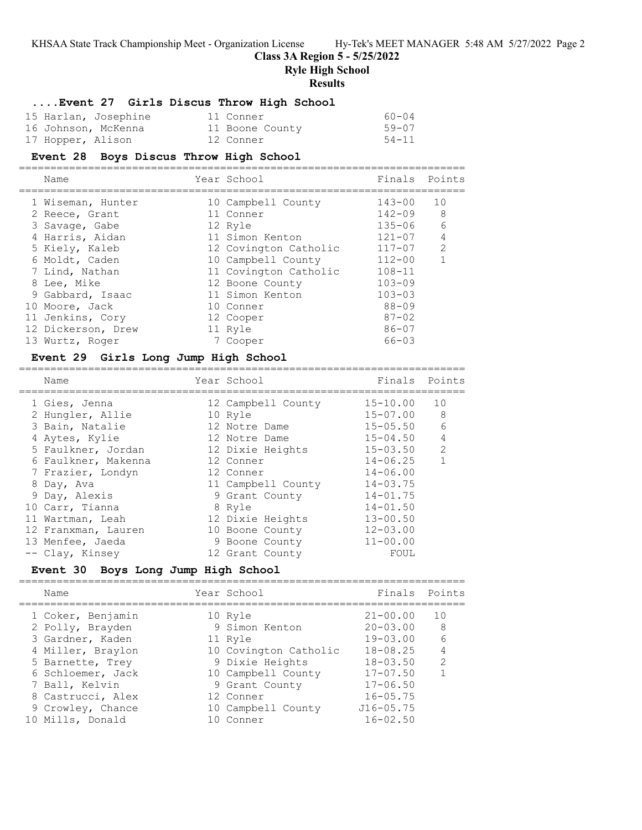### **Class 3A Region 5 - 5/25/2022**

**Ryle High School**

**Results**

### **....Event 27 Girls Discus Throw High School**

| 15 Harlan, Josephine | 11 Conner       | 60-04     |
|----------------------|-----------------|-----------|
| 16 Johnson, McKenna  | 11 Boone County | $59 - 07$ |
| 17 Hopper, Alison    | 12 Conner       | $54 - 11$ |

#### **Event 28 Boys Discus Throw High School** =======================================================================

| Name               | Year School | Finals Points         |            |               |
|--------------------|-------------|-----------------------|------------|---------------|
| 1 Wiseman, Hunter  |             | 10 Campbell County    | 143-00     | 10            |
| 2 Reece, Grant     |             | 11 Conner             | $142 - 09$ | 8             |
| 3 Savage, Gabe     |             | 12 Ryle               | $135 - 06$ | 6             |
| 4 Harris, Aidan    |             | 11 Simon Kenton       | $121 - 07$ | 4             |
| 5 Kiely, Kaleb     |             | 12 Covington Catholic | $117 - 07$ | $\mathcal{P}$ |
| 6 Moldt, Caden     |             | 10 Campbell County    | $112 - 00$ |               |
| 7 Lind, Nathan     |             | 11 Covington Catholic | $108 - 11$ |               |
| 8 Lee, Mike        |             | 12 Boone County       | $103 - 09$ |               |
| 9 Gabbard, Isaac   |             | 11 Simon Kenton       | $103 - 03$ |               |
| 10 Moore, Jack     |             | 10 Conner             | $88 - 09$  |               |
| 11 Jenkins, Cory   |             | 12 Cooper             | $87 - 02$  |               |
| 12 Dickerson, Drew |             | 11 Ryle               | $86 - 07$  |               |
| 13 Wurtz, Roger    |             | 7 Cooper              | $66 - 03$  |               |

#### **Event 29 Girls Long Jump High School** =======================================================================

| Name                | Year School        | Finals       | Points        |
|---------------------|--------------------|--------------|---------------|
| 1 Gies, Jenna       | 12 Campbell County | $15 - 10.00$ | 10            |
| 2 Hungler, Allie    | 10 Ryle            | $15 - 07.00$ | 8             |
| 3 Bain, Natalie     | 12 Notre Dame      | $15 - 05.50$ | 6             |
| 4 Aytes, Kylie      | 12 Notre Dame      | $15 - 04.50$ | 4             |
| 5 Faulkner, Jordan  | 12 Dixie Heights   | $15 - 03.50$ | $\mathcal{L}$ |
| 6 Faulkner, Makenna | 12 Conner          | $14 - 06.25$ |               |
| 7 Frazier, Londyn   | 12 Conner          | $14 - 06.00$ |               |
| 8 Day, Ava          | 11 Campbell County | $14 - 03.75$ |               |
| 9 Day, Alexis       | 9 Grant County     | $14 - 01.75$ |               |
| 10 Carr, Tianna     | 8 Ryle             | $14 - 01.50$ |               |
| 11 Wartman, Leah    | 12 Dixie Heights   | $13 - 00.50$ |               |
| 12 Franxman, Lauren | 10 Boone County    | $12 - 03.00$ |               |
| 13 Menfee, Jaeda    | 9 Boone County     | $11 - 00.00$ |               |
| -- Clay, Kinsey     | 12 Grant County    | FOUL         |               |

### **Event 30 Boys Long Jump High School**

| Name              | Year School           | Finals Points |                |
|-------------------|-----------------------|---------------|----------------|
| 1 Coker, Benjamin | 10 Ryle               | $21 - 00.00$  | 10             |
| 2 Polly, Brayden  | 9 Simon Kenton        | $20 - 03.00$  | 8              |
| 3 Gardner, Kaden  | 11 Ryle               | $19 - 03.00$  | - 6            |
| 4 Miller, Braylon | 10 Covington Catholic | $18 - 08.25$  | $\overline{4}$ |
| 5 Barnette, Trey  | 9 Dixie Heights       | $18 - 03.50$  | $\mathcal{L}$  |
| 6 Schloemer, Jack | 10 Campbell County    | $17 - 07.50$  |                |
| 7 Ball, Kelvin    | 9 Grant County        | $17 - 06.50$  |                |
| 8 Castrucci, Alex | 12 Conner             | $16 - 05.75$  |                |
| 9 Crowley, Chance | 10 Campbell County    | $J16 - 05.75$ |                |
| 10 Mills, Donald  | 10 Conner             | $16 - 02.50$  |                |
|                   |                       |               |                |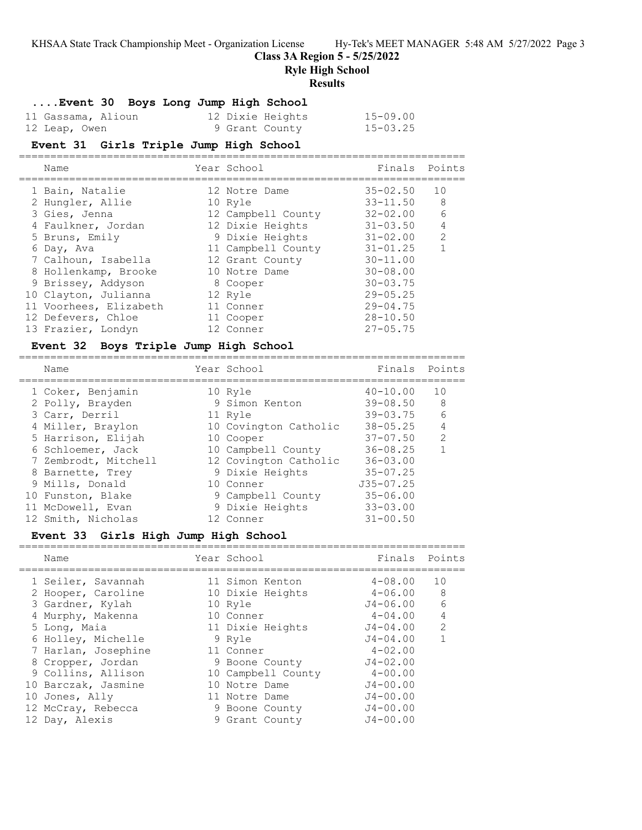**Class 3A Region 5 - 5/25/2022**

**Ryle High School**

### **Results**

**....Event 30 Boys Long Jump High School**

| 11 Gassama, Alioun | 12 Dixie Heights | $15 - 09.00$ |
|--------------------|------------------|--------------|
| 12 Leap, Owen      | 9 Grant County   | $15 - 03.25$ |

# **Event 31 Girls Triple Jump High School**

| Name                   | Year School        | Finals       | Points         |
|------------------------|--------------------|--------------|----------------|
| 1 Bain, Natalie        | 12 Notre Dame      | $35 - 02.50$ | 10             |
| 2 Hungler, Allie       | 10 Ryle            | $33 - 11.50$ | 8              |
| 3 Gies, Jenna          | 12 Campbell County | $32 - 02.00$ | 6              |
| 4 Faulkner, Jordan     | 12 Dixie Heights   | $31 - 03.50$ | $\overline{4}$ |
| 5 Bruns, Emily         | 9 Dixie Heights    | $31 - 02.00$ | 2              |
| 6 Day, Ava             | 11 Campbell County | $31 - 01.25$ |                |
| 7 Calhoun, Isabella    | 12 Grant County    | $30 - 11.00$ |                |
| 8 Hollenkamp, Brooke   | 10 Notre Dame      | $30 - 08.00$ |                |
| 9 Brissey, Addyson     | 8 Cooper           | $30 - 03.75$ |                |
| 10 Clayton, Julianna   | 12 Ryle            | $29 - 05.25$ |                |
| 11 Voorhees, Elizabeth | 11 Conner          | $29 - 04.75$ |                |
| 12 Defevers, Chloe     | 11 Cooper          | $28 - 10.50$ |                |
| 13 Frazier, Londyn     | 12 Conner          | $27 - 05.75$ |                |

### **Event 32 Boys Triple Jump High School**

| Name                 | Year School           | Finals        | Points          |
|----------------------|-----------------------|---------------|-----------------|
| 1 Coker, Benjamin    | 10 Ryle               | $40 - 10.00$  | 10              |
| 2 Polly, Brayden     | 9 Simon Kenton        | $39 - 08.50$  | 8               |
| 3 Carr, Derril       | 11 Ryle               | $39 - 03.75$  | $6\overline{6}$ |
| 4 Miller, Braylon    | 10 Covington Catholic | $38 - 05.25$  | $\overline{4}$  |
| 5 Harrison, Elijah   | 10 Cooper             | $37 - 07.50$  | $\mathcal{L}$   |
| 6 Schloemer, Jack    | 10 Campbell County    | $36 - 08.25$  |                 |
| 7 Zembrodt, Mitchell | 12 Covington Catholic | $36 - 03.00$  |                 |
| 8 Barnette, Trey     | 9 Dixie Heights       | $35 - 07.25$  |                 |
| 9 Mills, Donald      | 10 Conner             | $J35 - 07.25$ |                 |
| 10 Funston, Blake    | 9 Campbell County     | $35 - 06.00$  |                 |
| 11 McDowell, Evan    | 9 Dixie Heights       | $33 - 03.00$  |                 |
| 12 Smith, Nicholas   | 12 Conner             | $31 - 00.50$  |                 |

### **Event 33 Girls High Jump High School**

| Name                | Year School        | Finals Points |               |
|---------------------|--------------------|---------------|---------------|
| 1 Seiler, Savannah  | 11 Simon Kenton    | $4 - 08.00$   | 10            |
| 2 Hooper, Caroline  | 10 Dixie Heights   | $4 - 06.00$   | 8             |
| 3 Gardner, Kylah    | 10 Ryle            | J4-06.00      | 6             |
| 4 Murphy, Makenna   | 10 Conner          | $4 - 04.00$   | 4             |
| 5 Long, Maia        | 11 Dixie Heights   | $J4 - 04.00$  | $\mathcal{L}$ |
| 6 Holley, Michelle  | 9 Ryle             | $J4 - 04.00$  |               |
| 7 Harlan, Josephine | 11 Conner          | $4 - 02.00$   |               |
| 8 Cropper, Jordan   | 9 Boone County     | $J4 - 02.00$  |               |
| 9 Collins, Allison  | 10 Campbell County | $4 - 00.00$   |               |
| 10 Barczak, Jasmine | 10 Notre Dame      | $J4 - 00.00$  |               |
| 10 Jones, Ally      | 11 Notre Dame      | $J4 - 00.00$  |               |
| 12 McCray, Rebecca  | 9 Boone County     | $J4 - 00.00$  |               |
| 12 Day, Alexis      | 9 Grant County     | $J4 - 00.00$  |               |
|                     |                    |               |               |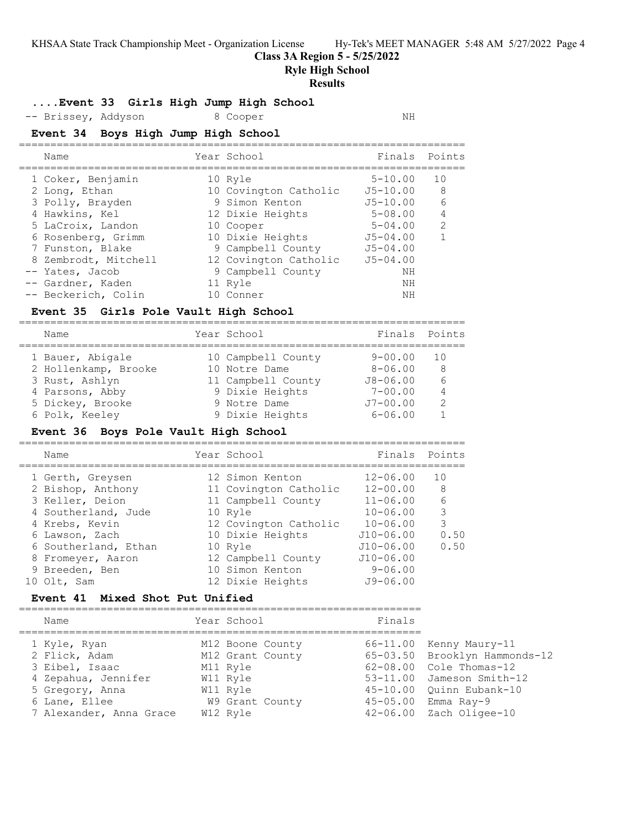**Class 3A Region 5 - 5/25/2022**

**Ryle High School**

#### **Results**

### **....Event 33 Girls High Jump High School**

-- Brissey, Addyson 8 Cooper NH

## **Event 34 Boys High Jump High School**

| Name                 | Year School           | Finals       | Points         |
|----------------------|-----------------------|--------------|----------------|
| 1 Coker, Benjamin    | 10 Ryle               | $5 - 10.00$  | 10             |
| 2 Long, Ethan        | 10 Covington Catholic | $J5 - 10.00$ | -8             |
| 3 Polly, Brayden     | 9 Simon Kenton        | $J5 - 10.00$ | 6              |
| 4 Hawkins, Kel       | 12 Dixie Heights      | $5 - 08.00$  | $\overline{4}$ |
| 5 LaCroix, Landon    | 10 Cooper             | $5 - 04.00$  | $\mathcal{L}$  |
| 6 Rosenberg, Grimm   | 10 Dixie Heights      | $J5 - 04.00$ |                |
| 7 Funston, Blake     | 9 Campbell County     | $J5 - 04.00$ |                |
| 8 Zembrodt, Mitchell | 12 Covington Catholic | $J5 - 04.00$ |                |
| -- Yates, Jacob      | 9 Campbell County     | ΝH           |                |
| -- Gardner, Kaden    | 11 Ryle               | ΝH           |                |
| -- Beckerich, Colin  | 10 Conner             | NΗ           |                |
|                      |                       |              |                |

### **Event 35 Girls Pole Vault High School**

| Name                 | Year School        | Finals Points |                |
|----------------------|--------------------|---------------|----------------|
| 1 Bauer, Abigale     | 10 Campbell County | $9 - 00.00$   | 1 O            |
| 2 Hollenkamp, Brooke | 10 Notre Dame      | $8 - 06.00$   | 8              |
| 3 Rust, Ashlyn       | 11 Campbell County | $J8 - 06.00$  | 6              |
| 4 Parsons, Abby      | 9 Dixie Heights    | $7 - 00.00$   | $\overline{4}$ |
| 5 Dickey, Brooke     | 9 Notre Dame       | $J7 - 00.00$  | $\mathcal{P}$  |
| 6 Polk, Keeley       | 9 Dixie Heights    | $6 - 06.00$   |                |
|                      |                    |               |                |

### **Event 36 Boys Pole Vault High School**

| Name                 | Year School           | Finals Points |      |
|----------------------|-----------------------|---------------|------|
| 1 Gerth, Greysen     | 12 Simon Kenton       | $12 - 06.00$  | 10   |
| 2 Bishop, Anthony    | 11 Covington Catholic | $12 - 00.00$  | -8   |
| 3 Keller, Deion      | 11 Campbell County    | $11 - 06.00$  | 6    |
| 4 Southerland, Jude  | 10 Ryle               | $10 - 06.00$  | 3    |
| 4 Krebs, Kevin       | 12 Covington Catholic | $10 - 06.00$  | 3    |
| 6 Lawson, Zach       | 10 Dixie Heights      | $J10 - 06.00$ | 0.50 |
| 6 Southerland, Ethan | 10 Ryle               | $J10 - 06.00$ | 0.50 |
| 8 Fromeyer, Aaron    | 12 Campbell County    | $J10 - 06.00$ |      |
| 9 Breeden, Ben       | 10 Simon Kenton       | $9 - 06.00$   |      |
| 10 Olt, Sam          | 12 Dixie Heights      | $J9 - 06.00$  |      |
|                      |                       |               |      |

# **Event 41 Mixed Shot Put Unified**

| Name                    | Year School      | Finals |                               |
|-------------------------|------------------|--------|-------------------------------|
| 1 Kyle, Ryan            | M12 Boone County |        | $66 - 11.00$ Kenny Maury-11   |
| 2 Flick, Adam           | M12 Grant County |        | 65-03.50 Brooklyn Hammonds-12 |
| 3 Eibel, Isaac          | M11 Ryle         |        | 62-08.00 Cole Thomas-12       |
| 4 Zepahua, Jennifer     | W11 Ryle         |        | 53-11.00 Jameson Smith-12     |
| 5 Gregory, Anna         | W11 Ryle         |        | 45-10.00 Ouinn Eubank-10      |
| 6 Lane, Ellee           | W9 Grant County  |        | 45-05.00 Emma Ray-9           |
| 7 Alexander, Anna Grace | W12 Ryle         |        | $42-06.00$ Zach Oligee-10     |
|                         |                  |        |                               |